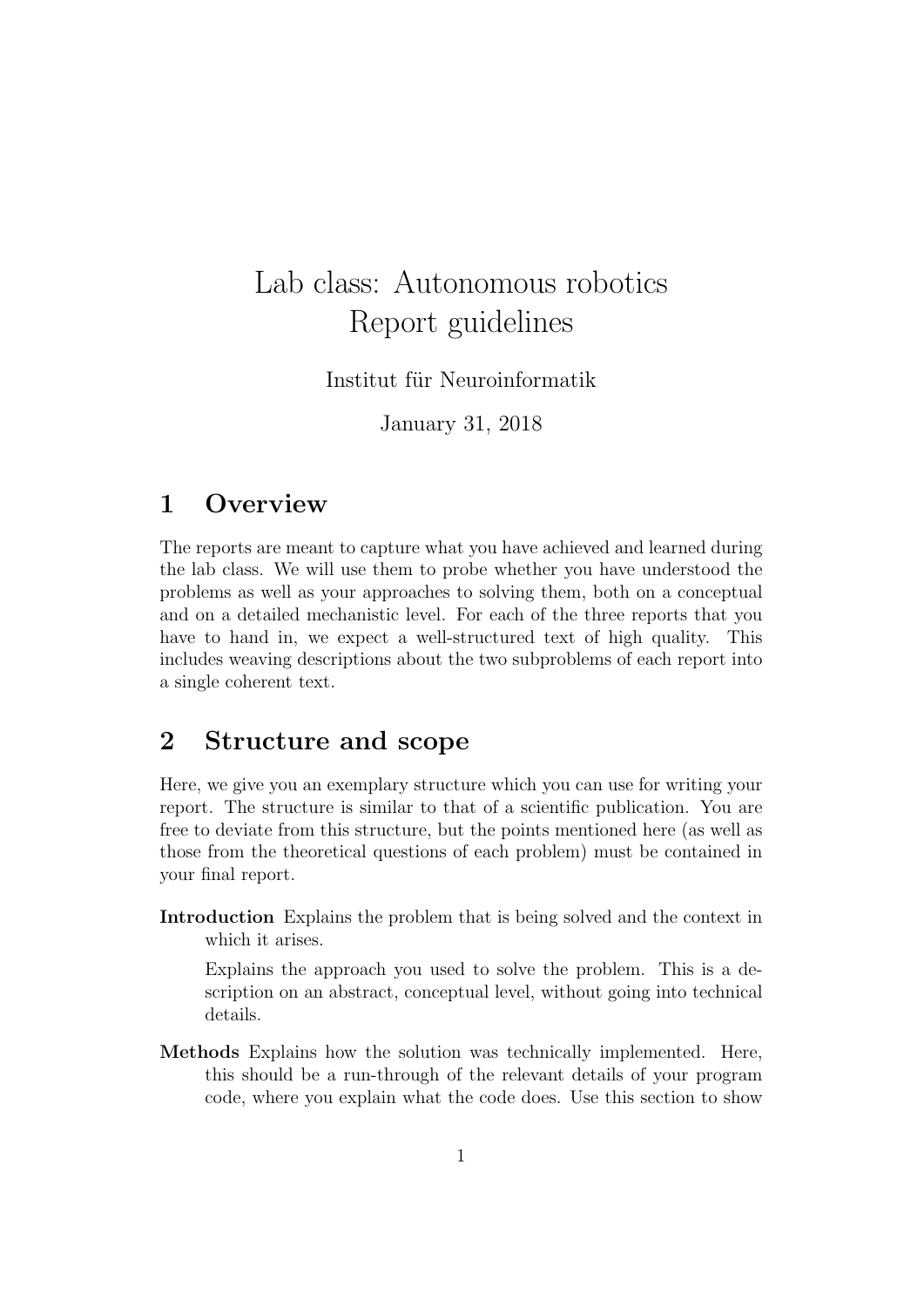## Lab class: Autonomous robotics Report guidelines

Institut für Neuroinformatik

January 31, 2018

## 1 Overview

The reports are meant to capture what you have achieved and learned during the lab class. We will use them to probe whether you have understood the problems as well as your approaches to solving them, both on a conceptual and on a detailed mechanistic level. For each of the three reports that you have to hand in, we expect a well-structured text of high quality. This includes weaving descriptions about the two subproblems of each report into a single coherent text.

## 2 Structure and scope

Here, we give you an exemplary structure which you can use for writing your report. The structure is similar to that of a scientific publication. You are free to deviate from this structure, but the points mentioned here (as well as those from the theoretical questions of each problem) must be contained in your final report.

Introduction Explains the problem that is being solved and the context in which it arises.

Explains the approach you used to solve the problem. This is a description on an abstract, conceptual level, without going into technical details.

Methods Explains how the solution was technically implemented. Here, this should be a run-through of the relevant details of your program code, where you explain what the code does. Use this section to show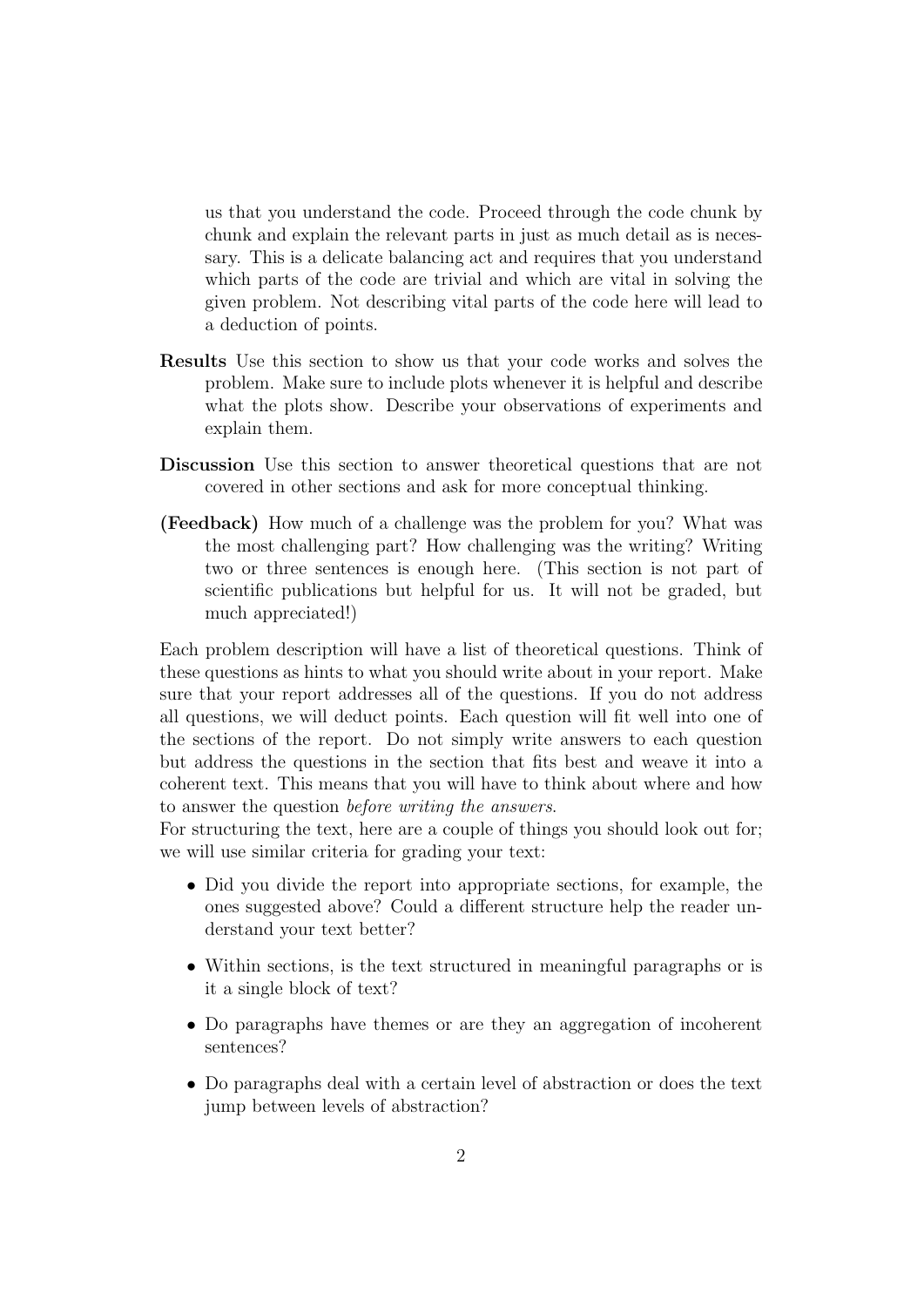us that you understand the code. Proceed through the code chunk by chunk and explain the relevant parts in just as much detail as is necessary. This is a delicate balancing act and requires that you understand which parts of the code are trivial and which are vital in solving the given problem. Not describing vital parts of the code here will lead to a deduction of points.

- Results Use this section to show us that your code works and solves the problem. Make sure to include plots whenever it is helpful and describe what the plots show. Describe your observations of experiments and explain them.
- Discussion Use this section to answer theoretical questions that are not covered in other sections and ask for more conceptual thinking.
- (Feedback) How much of a challenge was the problem for you? What was the most challenging part? How challenging was the writing? Writing two or three sentences is enough here. (This section is not part of scientific publications but helpful for us. It will not be graded, but much appreciated!)

Each problem description will have a list of theoretical questions. Think of these questions as hints to what you should write about in your report. Make sure that your report addresses all of the questions. If you do not address all questions, we will deduct points. Each question will fit well into one of the sections of the report. Do not simply write answers to each question but address the questions in the section that fits best and weave it into a coherent text. This means that you will have to think about where and how to answer the question before writing the answers.

For structuring the text, here are a couple of things you should look out for; we will use similar criteria for grading your text:

- Did you divide the report into appropriate sections, for example, the ones suggested above? Could a different structure help the reader understand your text better?
- Within sections, is the text structured in meaningful paragraphs or is it a single block of text?
- Do paragraphs have themes or are they an aggregation of incoherent sentences?
- Do paragraphs deal with a certain level of abstraction or does the text jump between levels of abstraction?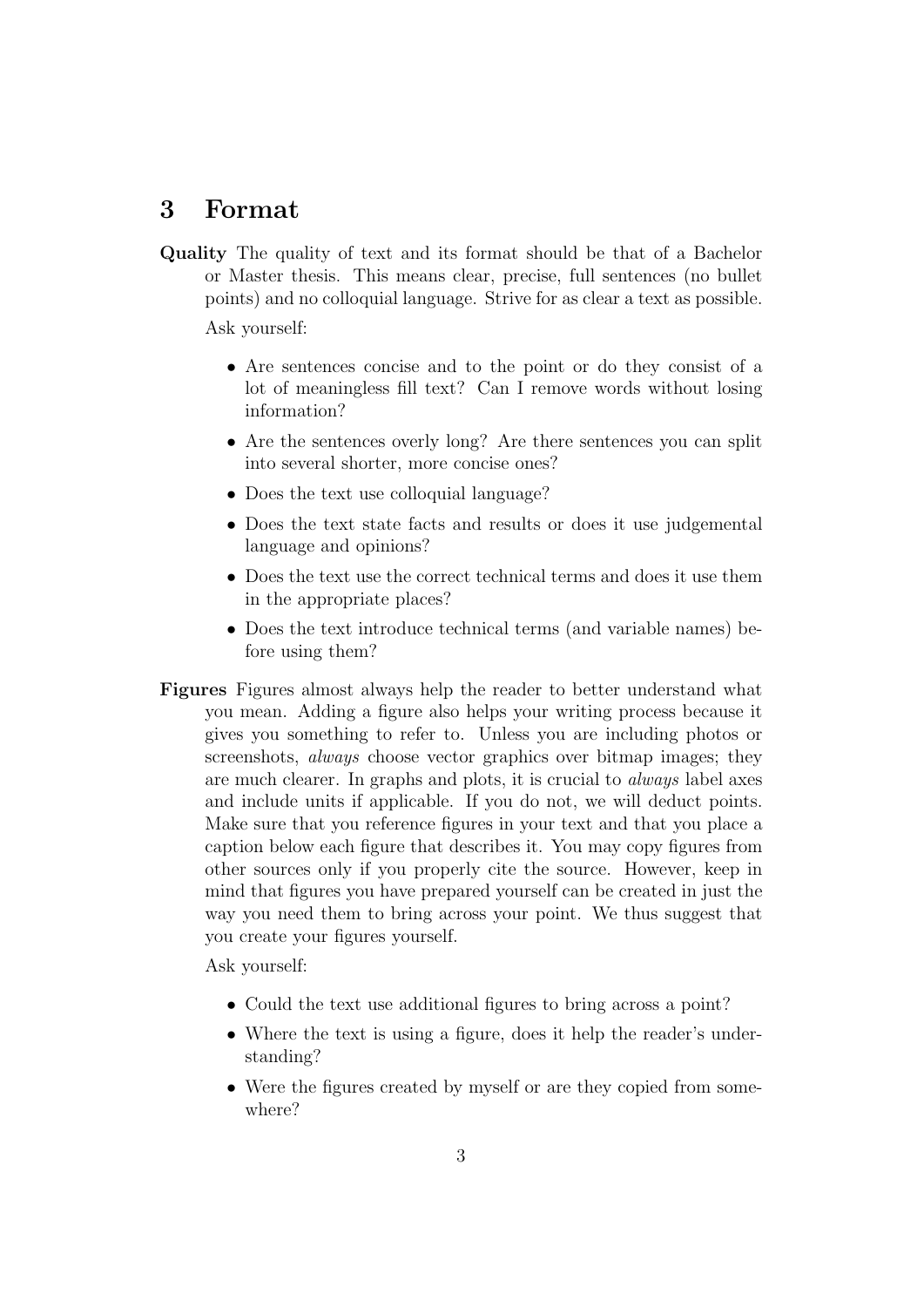## 3 Format

Quality The quality of text and its format should be that of a Bachelor or Master thesis. This means clear, precise, full sentences (no bullet points) and no colloquial language. Strive for as clear a text as possible.

Ask yourself:

- Are sentences concise and to the point or do they consist of a lot of meaningless fill text? Can I remove words without losing information?
- Are the sentences overly long? Are there sentences you can split into several shorter, more concise ones?
- Does the text use colloquial language?
- Does the text state facts and results or does it use judgemental language and opinions?
- Does the text use the correct technical terms and does it use them in the appropriate places?
- Does the text introduce technical terms (and variable names) before using them?
- Figures Figures almost always help the reader to better understand what you mean. Adding a figure also helps your writing process because it gives you something to refer to. Unless you are including photos or screenshots, *always* choose vector graphics over bitmap images; they are much clearer. In graphs and plots, it is crucial to always label axes and include units if applicable. If you do not, we will deduct points. Make sure that you reference figures in your text and that you place a caption below each figure that describes it. You may copy figures from other sources only if you properly cite the source. However, keep in mind that figures you have prepared yourself can be created in just the way you need them to bring across your point. We thus suggest that you create your figures yourself.

Ask yourself:

- Could the text use additional figures to bring across a point?
- Where the text is using a figure, does it help the reader's understanding?
- Were the figures created by myself or are they copied from somewhere?